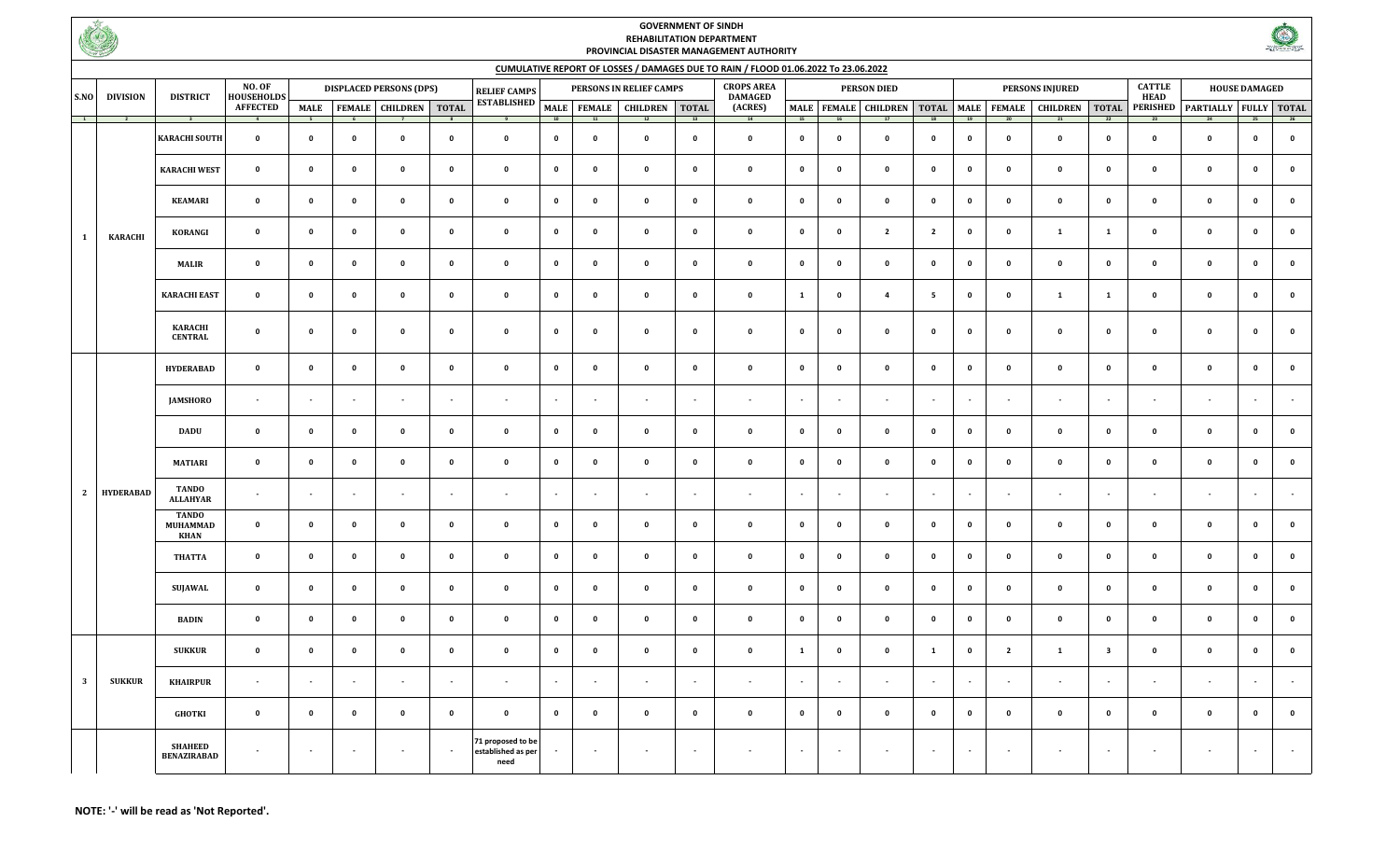

## **GOVERNMENT OF SINDH REHABILITATION DEPARTMENT PROVINCIAL DISASTER MANAGEMENT AUTHORITY**



## **CUMULATIVE REPORT OF LOSSES / DAMAGES DUE TO RAIN / FLOOD 01.06.2022 To 23.06.2022**

| S.NO                    | <b>DIVISION</b>                                                                   | <b>DISTRICT</b>                      | <b>NO. OF</b><br><b>HOUSEHOLDS</b><br><b>AFFECTED</b> | <b>DISPLACED PERSONS (DPS)</b> |                |                                  |                          | <b>RELIEF CAMPS</b>                             |                          |                          | PERSONS IN RELIEF CAMPS  | <b>CROPS AREA</b><br><b>DAMAGED</b> | <b>PERSON DIED</b>       |              |                          |                          | <b>PERSONS INJURED</b>  |                          |                          |                                                             | <b>CATTLE</b><br><b>HEAD</b> | <b>HOUSE DAMAGED</b> |                                      |                          |                    |
|-------------------------|-----------------------------------------------------------------------------------|--------------------------------------|-------------------------------------------------------|--------------------------------|----------------|----------------------------------|--------------------------|-------------------------------------------------|--------------------------|--------------------------|--------------------------|-------------------------------------|--------------------------|--------------|--------------------------|--------------------------|-------------------------|--------------------------|--------------------------|-------------------------------------------------------------|------------------------------|----------------------|--------------------------------------|--------------------------|--------------------|
|                         |                                                                                   |                                      |                                                       |                                |                | MALE   FEMALE   CHILDREN   TOTAL |                          | <b>ESTABLISHED</b>                              |                          |                          | MALE FEMALE CHILDREN     | <b>TOTAL</b>                        | (ACRES)                  |              |                          |                          |                         |                          |                          | MALE   FEMALE   CHILDREN   TOTAL   MALE   FEMALE   CHILDREN |                              |                      | TOTAL PERISHED PARTIALLY FULLY TOTAL |                          |                    |
|                         | $\begin{array}{ c c c c c }\n\hline\n\text{1} & \text{2} & \text{2}\n\end{array}$ | $\sim$ 3                             | $\overline{4}$                                        | $-5$                           | 6 <sup>5</sup> |                                  |                          |                                                 | 10                       | 11                       | 12                       | 13                                  | 14                       | 15           | 16                       |                          | 18                      | 19                       | 20                       |                                                             | $\overline{22}$              | $^{23}$              |                                      | 25                       |                    |
| $\mathbf{1}$            |                                                                                   | <b>KARACHI SOUTH</b>                 | $\mathbf 0$                                           | $\mathbf 0$                    | $\mathbf 0$    | $\pmb{\mathsf{o}}$               | $\pmb{\mathsf{o}}$       | $\mathbf{0}$                                    | $\pmb{\mathsf{o}}$       | $\mathbf 0$              | $\mathbf{o}$             | $\mathbf 0$                         | $\mathbf 0$              | $\mathbf 0$  | $\bullet$                | $\mathbf 0$              | $\overline{\mathbf{0}}$ | $\mathbf 0$              | $\mathbf{0}$             | $\mathbf 0$                                                 | $\mathbf 0$                  | $\mathbf 0$          | $\mathbf{0}$                         | $\mathbf 0$              | $\pmb{\mathsf{o}}$ |
|                         |                                                                                   | <b>KARACHI WEST</b>                  | $\mathbf 0$                                           | $\mathbf 0$                    | $\mathbf 0$    | $\pmb{\mathsf{o}}$               | $\mathbf 0$              | $\mathbf 0$                                     | $\mathbf 0$              | $\mathbf 0$              | $\mathbf 0$              | $\mathbf 0$                         | $\mathbf 0$              | $\mathbf{0}$ | $\mathbf 0$              | $\mathbf 0$              | $\mathbf{0}$            | $\mathbf 0$              | $\mathbf 0$              | $\mathbf 0$                                                 | $\mathbf 0$                  | $\mathbf 0$          | $\mathbf 0$                          | $\mathbf 0$              | $\mathbf 0$        |
|                         |                                                                                   | <b>KEAMARI</b>                       | $\mathbf 0$                                           | $\mathbf 0$                    | $\mathbf 0$    | $\mathbf 0$                      | $\mathbf 0$              | $\pmb{\mathsf{o}}$                              | $\mathbf 0$              | $\mathbf{0}$             | $\mathbf 0$              | $\mathbf{0}$                        | $\mathbf 0$              | $\mathbf 0$  | $\mathbf 0$              | $\mathbf 0$              | $\mathbf{0}$            | $\mathbf 0$              | $\mathbf 0$              | $\mathbf 0$                                                 | $\mathbf 0$                  | $\mathbf 0$          | $\mathbf 0$                          | $\mathbf 0$              | $\mathbf 0$        |
|                         | <b>KARACHI</b>                                                                    | KORANGI                              | $\mathbf 0$                                           | $\mathbf{0}$                   | $\mathbf 0$    | $\mathbf{0}$                     | $\pmb{0}$                | $\mathbf 0$                                     | $\mathbf{0}$             | $\mathbf 0$              | $\mathbf 0$              | $\mathbf 0$                         | $\mathbf 0$              | $\mathbf{0}$ | $\mathbf 0$              | $\overline{2}$           | $\overline{2}$          | $\mathbf{0}$             | $\mathbf 0$              | 1                                                           | $\mathbf{1}$                 | $\mathbf 0$          | $\mathbf 0$                          | $\mathbf 0$              | $\mathbf 0$        |
|                         |                                                                                   | <b>MALIR</b>                         | $\mathbf 0$                                           | $\mathbf 0$                    | $\mathbf 0$    | $\mathbf 0$                      | $\mathbf 0$              | $\mathbf 0$                                     | $\mathbf 0$              | $\mathbf 0$              | $\mathbf 0$              | $\mathbf 0$                         | $\mathbf 0$              | $\mathbf 0$  | $\mathbf 0$              | $\mathbf 0$              | $\mathbf{0}$            | $\mathbf 0$              | $\Omega$                 | $\mathbf 0$                                                 | $\mathbf{0}$                 | $\mathbf 0$          | $\mathbf 0$                          | $\mathbf 0$              | 0                  |
|                         |                                                                                   | <b>KARACHI EAST</b>                  | $\mathbf 0$                                           | $\mathbf 0$                    | $\mathbf 0$    | $\mathbf 0$                      | $\pmb{0}$                | $\mathbf 0$                                     | $\mathbf 0$              | $\mathbf 0$              | $\mathbf 0$              | $\mathbf 0$                         | $\mathbf 0$              | $\mathbf{1}$ | $\mathbf{o}$             | $\overline{4}$           | $5^{\circ}$             | $\mathbf 0$              | $\mathbf 0$              | 1                                                           | 1                            | $\mathbf 0$          | $\mathbf 0$                          | $\mathbf 0$              | $\mathbf 0$        |
|                         |                                                                                   |                                      |                                                       |                                |                |                                  |                          |                                                 |                          |                          |                          |                                     |                          |              |                          |                          |                         |                          |                          |                                                             |                              |                      |                                      |                          |                    |
|                         |                                                                                   | <b>KARACHI</b><br><b>CENTRAL</b>     | $\mathbf 0$                                           | $\mathbf 0$                    | $\mathbf 0$    | $\mathbf 0$                      | $\mathbf 0$              | $\pmb{\mathsf{o}}$                              | $\mathbf 0$              | $\mathbf{0}$             | $\mathbf 0$              | $\mathbf{0}$                        | $\mathbf 0$              | $\mathbf 0$  | $\mathbf 0$              | $\mathbf 0$              | $\mathbf{0}$            | $\mathbf 0$              | $\mathbf 0$              | $\mathbf 0$                                                 | $\mathbf 0$                  | $\mathbf 0$          | $\mathbf 0$                          | $\mathbf 0$              | $\mathbf 0$        |
|                         | <b>HYDERABAD</b>                                                                  | <b>HYDERABAD</b>                     | $\pmb{\mathsf{o}}$                                    | $\mathbf 0$                    | $\mathbf 0$    | $\mathbf 0$                      | $\mathbf 0$              | $\pmb{\mathsf{o}}$                              | $\mathbf 0$              | $\mathbf 0$              | $\mathbf 0$              | $\mathbf 0$                         | $\mathbf 0$              | $\mathbf 0$  | $\mathbf 0$              | $\mathbf 0$              | $\mathbf 0$             | $\mathbf 0$              | $\mathbf 0$              | $\mathbf 0$                                                 | $\mathbf 0$                  | $\mathbf 0$          | $\mathbf 0$                          | $\mathbf 0$              | $\pmb{\mathsf{o}}$ |
|                         |                                                                                   | <b>JAMSHORO</b>                      | $\overline{\phantom{a}}$                              | $\overline{\phantom{a}}$       | $\sim$         | $\sim$                           | $\sim$                   | $\blacksquare$                                  | $\overline{\phantom{a}}$ | $\sim$                   | $\sim$                   | $\sim$                              | $\overline{\phantom{a}}$ | $\sim$       | $\sim$                   | $\overline{\phantom{a}}$ | $\sim$                  | $\sim$                   | $\sim$                   | $\overline{\phantom{a}}$                                    | $\sim$                       | $\sim$               | $\sim$                               |                          |                    |
|                         |                                                                                   | <b>DADU</b>                          | $\pmb{0}$                                             | $\mathbf{o}$                   | $\mathbf 0$    | $\pmb{\mathsf{o}}$               | $\pmb{0}$                | $\mathbf 0$                                     | $\mathbf 0$              | $\mathbf 0$              | $\mathbf 0$              | $\mathbf 0$                         | $\mathbf 0$              | $\mathbf{0}$ | $\mathbf{o}$             | $\mathbf{o}$             | $\mathbf{0}$            | $\mathbf 0$              | $\mathbf 0$              | $\mathbf 0$                                                 | $\Omega$                     | $\mathbf 0$          | $\mathbf 0$                          | $\mathbf 0$              | $\mathbf{0}$       |
|                         |                                                                                   | <b>MATIARI</b>                       | $\mathbf 0$                                           | $\mathbf 0$                    | $\mathbf 0$    | $\pmb{\mathsf{o}}$               | $\mathbf 0$              | $\mathbf 0$                                     | $\mathbf{0}$             | $\mathbf{0}$             | $\mathbf 0$              | $\mathbf 0$                         | $\mathbf 0$              | $\mathbf 0$  | $\mathbf{o}$             | $\mathbf 0$              | $\mathbf{0}$            | $\mathbf 0$              | $\mathbf 0$              | $\mathbf 0$                                                 | $\mathbf 0$                  | $\mathbf 0$          | $\mathbf{0}$                         | $\mathbf 0$              | $\pmb{\mathsf{o}}$ |
| $\overline{2}$          |                                                                                   | <b>TANDO</b><br><b>ALLAHYAR</b>      | $\overline{\phantom{a}}$                              | $\sim$                         | $\sim$         | $\overline{\phantom{a}}$         | $\overline{\phantom{a}}$ | $\overline{\phantom{a}}$                        | $\overline{\phantom{a}}$ | $\overline{\phantom{a}}$ | $\blacksquare$           |                                     | $\blacksquare$           | $\sim$       | $\overline{\phantom{a}}$ | $\overline{\phantom{a}}$ | $\sim$                  | $\overline{\phantom{a}}$ | $\overline{\phantom{a}}$ | $\blacksquare$                                              | $\overline{\phantom{a}}$     | $\sim$               | $\blacksquare$                       |                          |                    |
|                         |                                                                                   | <b>TANDO</b><br><b>MUHAMMAD</b>      | $\mathbf 0$                                           | $\mathbf{0}$                   | $\mathbf 0$    | $\mathbf 0$                      | $\mathbf 0$              | $\mathbf{0}$                                    | $\mathbf{0}$             | $\mathbf{0}$             | $\mathbf 0$              | $\mathbf{0}$                        | $\mathbf 0$              | $\mathbf 0$  | $\mathbf 0$              | $\mathbf 0$              | $\overline{\mathbf{0}}$ | $\mathbf 0$              | $\mathbf 0$              | $\mathbf 0$                                                 | $\mathbf 0$                  | $\mathbf 0$          | $\mathbf 0$                          | $\mathbf 0$              | $\mathbf 0$        |
|                         |                                                                                   | <b>KHAN</b><br><b>THATTA</b>         | $\mathbf 0$                                           | $\mathbf 0$                    | $\mathbf 0$    | $\pmb{\mathsf{o}}$               | $\pmb{\mathsf{o}}$       | $\pmb{0}$                                       | $\pmb{0}$                | $\mathbf{0}$             | $\mathbf 0$              | $\mathbf 0$                         | $\mathbf 0$              | $\mathbf 0$  | $\mathbf 0$              | $\mathbf 0$              | $\mathbf{0}$            | $\mathbf 0$              | $\mathbf 0$              | $\mathbf 0$                                                 | $\mathbf 0$                  | $\mathbf 0$          | $\mathbf 0$                          | $\mathbf 0$              | $\mathbf 0$        |
|                         |                                                                                   | <b>SUJAWAL</b>                       | $\mathbf 0$                                           | $\mathbf 0$                    | $\mathbf 0$    | $\mathbf 0$                      | $\mathbf 0$              | $\pmb{\mathsf{o}}$                              | $\pmb{\mathsf{o}}$       | $\mathbf 0$              | $\mathbf 0$              | $\mathbf 0$                         | $\mathbf 0$              | $\mathbf 0$  | $\mathbf 0$              | $\mathbf 0$              | $\mathbf{0}$            | $\mathbf 0$              | $\mathbf 0$              | $\mathbf 0$                                                 | $\mathbf 0$                  | $\mathbf 0$          | $\mathbf 0$                          | $\mathbf 0$              | $\mathbf 0$        |
|                         |                                                                                   | <b>BADIN</b>                         | $\mathbf 0$                                           | $\mathbf{0}$                   | $\mathbf 0$    | $\mathbf 0$                      | $\mathbf 0$              | $\mathbf{0}$                                    | $\mathbf{0}$             | $\mathbf{0}$             | $\mathbf{0}$             | $\mathbf 0$                         | $\mathbf 0$              | $\mathbf 0$  | $\mathbf 0$              | $\mathbf 0$              | $\mathbf 0$             | $\mathbf 0$              | $\mathbf 0$              | $\mathbf 0$                                                 | $\mathbf 0$                  | $\mathbf 0$          | $\mathbf 0$                          | $\mathbf 0$              | $\mathbf 0$        |
|                         |                                                                                   |                                      |                                                       |                                |                |                                  |                          |                                                 |                          |                          |                          |                                     |                          |              |                          |                          |                         |                          |                          |                                                             |                              |                      |                                      |                          |                    |
| $\overline{\mathbf{3}}$ |                                                                                   | <b>SUKKUR</b>                        | $\pmb{0}$                                             | $\mathbf 0$                    | $\mathbf 0$    | $\pmb{\mathsf{o}}$               | $\mathbf 0$              | $\mathbf{0}$                                    | $\mathbf 0$              | $\mathbf 0$              | $\mathbf 0$              | $\mathbf 0$                         | $\mathbf 0$              | $\mathbf{1}$ | $\mathbf 0$              | $\mathbf 0$              | $\mathbf{1}$            | $\mathbf 0$              | $\overline{2}$           | 1                                                           | $\overline{\mathbf{3}}$      | $\mathbf 0$          | $\mathbf 0$                          | $\mathbf 0$              | $\pmb{\mathsf{o}}$ |
|                         | <b>SUKKUR</b>                                                                     | <b>KHAIRPUR</b>                      | $\sim$                                                | $\sim$                         | $\sim$         | $\sim$                           | $\sim$                   | $\overline{\phantom{a}}$                        | $\sim$                   | $\sim$                   | $\overline{\phantom{a}}$ | $\overline{a}$                      | $\overline{\phantom{a}}$ | $\sim$       | $\overline{\phantom{a}}$ | $\sim$                   | $\sim$                  | $\sim$                   | $\sim$                   | $\overline{\phantom{a}}$                                    | $\sim$                       | - 11                 | $\overline{\phantom{a}}$             |                          |                    |
|                         |                                                                                   | <b>GHOTKI</b>                        | $\mathbf 0$                                           | $\mathbf 0$                    | $\mathbf 0$    | $\mathbf 0$                      | $\mathbf 0$              | $\mathbf 0$                                     | $\mathbf 0$              | $\mathbf 0$              | $\mathbf{0}$             | $\mathbf 0$                         | $\mathbf 0$              | $\mathbf 0$  | $\mathbf 0$              | $\mathbf{0}$             | $\mathbf 0$             | $\mathbf{0}$             | $\mathbf 0$              | $\mathbf 0$                                                 | $\mathbf 0$                  | $\mathbf 0$          | $\mathbf 0$                          | $\mathbf 0$              | $\pmb{\mathsf{o}}$ |
|                         |                                                                                   | <b>SHAHEED</b><br><b>BENAZIRABAD</b> | $\overline{\phantom{a}}$                              | $\sim$                         | $\sim$         | $\mathbf{r}$                     | $\sim$                   | 71 proposed to be<br>established as per<br>need | $\overline{\phantom{a}}$ | $\sim$                   | $\sim$                   | $\sim$                              | $\blacksquare$           | $\sim$       | $\sim$                   | $\blacksquare$           | $\sim$                  | $\sim$                   | $\sim$                   | $\sim$                                                      | $\sim$                       | $\sim$               | $\blacksquare$                       | $\overline{\phantom{a}}$ |                    |